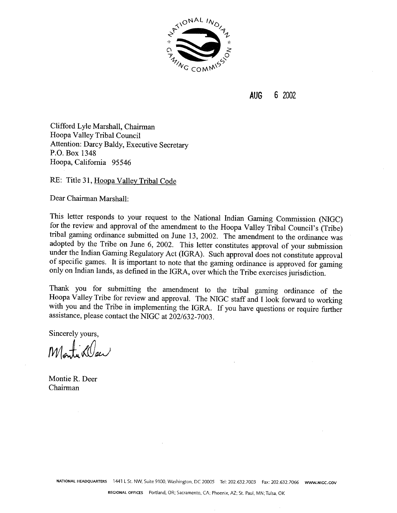

**AUG** 6 2002

Clifford Lyle Marshall, Chairman Hoopa Valley Tribal Council Attention: Darcy Baldy, Executive Secretary P.O. Box 1348 Hoopa, California 95546

RE: Title 31, Hoopa Valley Tribal Code

Dear Chairman Marshall:

This letter responds to your request to the National Indian Gaming Commission (NIGC) for the review and approval of the amendment to the Hoopa Valley Tribal Council's (Tribe) tribal gaming ordinance submitted on June 13, 2002. The amendment to the ordinance was adopted by the Tribe on June 6, 2002. This letter constitutes approval of your submission under the Indian Gaming Regulatory Act (IGRA). Such approval does not constitute approval of specific games. It is important to note that the gaming ordinance is approved for gaming only on Indian lands, as defined in the IGRA, over which the Tribe exercises jurisdiction.

Thank you for submitting the amendment to the tribal gaming ordinance of the Hoopa Valley Tribe for review and approval. The NIGC staff and I look forward to working with you and the Tribe in implementing the IGRA. If you have questions or require further assistance, please contact the NIGC at 202/632-7003.

Sincerely yours,

Monta Klee

Montie R. Deer Chairman

**NATIONAL HEADQUARTERS** 1441 L St. NW, Suite 9100, Washington, DC 20005 Tel: 202.632.7003 Fax: 202.632.7066 www.NIGC.GOV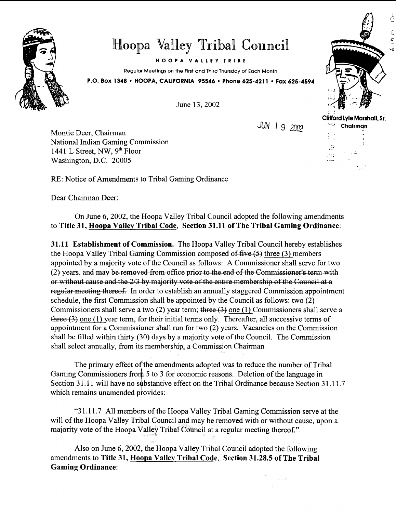

## Hoopa Valley Tribal Council

**HOOPA VALLEY TRIB E** 

**Regular Meetings on the First and Third Thursday of Each Month** 

June 13,2002

**P.O. Box 1348 HOOPA. CALIFORNIA 95546 Phone 625-421 1 Fax 625-4594** 

JUN 1 9 2002

**Clifford Lyle Marshall, Sr. Chairman** 

.Þ  $\sim$  ₫

Montie Deer, Chairman National Indian Gaming Commission 1441 L Street, NW, 9" Floor Washington, D.C. 20005

RE: Notice of Amendments to Tribal Gaming Ordinance

Dear Chairman Deer:

On June 6,2002, the Hoopa Valley Tribal Council adopted the following amendments to Title **31,** Hoopa Valley Tribal Code, Section **31.11** of The Tribal Gaming Ordinance:

**31.11** Establishment of Commission. The Hoopa Valley Tribal Council hereby establishes the Hoopa Valley Tribal Gaming Commission composed of  $\text{five}(5)$  three (3) members RE: Notice of Amendments to Tribal Gaming Ordinance<br>
Dear Chairman Deer:<br>
On June 6, 2002, the Hoopa Valley Tribal Council adopted the following amendments<br>
to Title 31, **Hoopa Valley Tribal Code**, Section 31.11 of The Tri appointed by a majority vote of the Council as follows: A Commissioner shall serve for two  $(2)$  years, and may be removed from office prior to the end of the Commissioner's term with or without cause and the  $2/3$  by maj schedule, the first Commission shall be appointed by the Council as follows: two (2) Commissioners shall serve a two (2) year term; three (3) one (1) Commissioners shall serve a  $there (3)$  one (1) year term, for their initial terms only. Thereafter, all successive terms of appointment for a Commissioner shall run for two (2) years. Vacancies on the Commission shall be filled within thirty (30) days by a majority vote of the Council. The Commission shall select annually. from its membership, a Commissjon Chairman

The primary effect of the amendments adopted was to reduce the number of Tribal Gaming Commissioners from 5 to 3 for economic reasons. Deletion of the language in Section 31.11 will have no substantive effect on the Tribal Ordinance because Section  $31.11.7$ which remains unamended provides:

"3 1.1 1.7 All members of the Hoopa Valley Tribal Gaming Commission serve at the will of the Hoopa Valley Tribal Council and may be removed with or without cause, upon a majority vote of the Hoopa Valley Tribal Council at a regular meeting thereof."

Also on June 6,2002, the Hoopa Valley Tribal Council adopted the following amendments to Title **31,** Hoopa Valley Tribal Code, Section **31.28.5** of The Tribal Gaming Ordinance: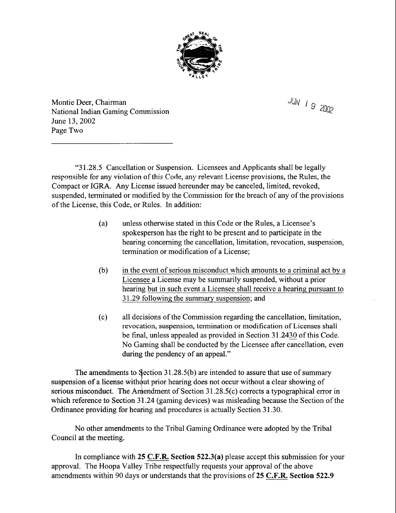

 $JUN$  1 9 2002

Montie Deer, Chairman National Indian Gaming Commission June 13,2002 Page Two

"3 1.28.5 Cancellation or Suspension. Licensees and Applicants shall be legally responsible for any violation of this Code, any relevant License provisions, the Rules, the Compact or IGRA. Any License issued hereunder may be canceled, limited, revoked, suspended, terminated or modified by the Commission for the breach of any of the provisions of the License, this Code, or Rules. In addition:

- (a) unless otherwise stated in this Code or the Rules, a Licensee's spokesperson has the right to be present and to participate in the hearing concerning the cancellation, limitation, revocation, suspension, termination or modification of a License;
- (b) in the event of serious misconduct which amounts to a criminal act by a Licensee a License may be summarily suspended, without a prior hearing but in such event a Licensee shall receive a hearing pursuant to 3 1.29 following the summary suspension; and
- (c) all decisions of the Commission regarding the cancellation, limitation, revocation, suspension, termination or modification of Licenses shall be final, unless appealed as provided in Section 31.2430 of this Code. No Gaming shall be conducted by the Licensee after cancellation, even during the pendency of an appeal."

The amendments to Section  $31.28.5(b)$  are intended to assure that use of summary suspension of a license with out prior hearing does not occur without a clear showing of serious misconduct. The Amendment of Section  $31.28.5(c)$  corrects a typographical error in which reference to Section 31.24 (gaming devices) was misleading because the Section of the Ordinance providing for hearing and procedures is actually Section 31.30.

No other amendments to the Tribal Gaming Ordinance were adopted by the Tribal Council at the meeting.

In compliance with **25** C.F.R. **Section 522.3(a)** please accept this submission for your approval. The Hoopa Valley Tribe respectfully requests your approval of the above amendments within 90 days or understands that the provisions of **25** C.F.R. **Section 522.9**